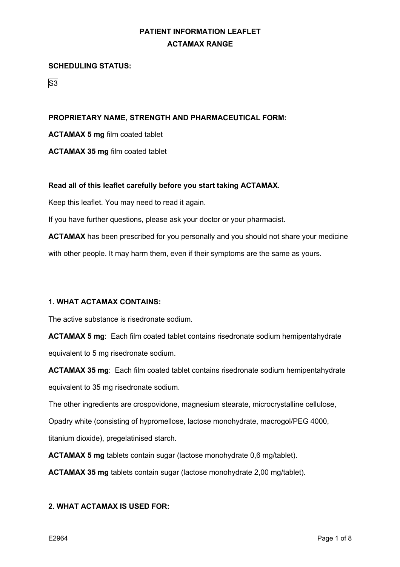## **SCHEDULING STATUS:**

S3

# **PROPRIETARY NAME, STRENGTH AND PHARMACEUTICAL FORM:**

**ACTAMAX 5 mg** film coated tablet

**ACTAMAX 35 mg** film coated tablet

## **Read all of this leaflet carefully before you start taking ACTAMAX.**

Keep this leaflet. You may need to read it again.

If you have further questions, please ask your doctor or your pharmacist.

**ACTAMAX** has been prescribed for you personally and you should not share your medicine with other people. It may harm them, even if their symptoms are the same as yours.

## **1. WHAT ACTAMAX CONTAINS:**

The active substance is risedronate sodium.

**ACTAMAX 5 mg**: Each film coated tablet contains risedronate sodium hemipentahydrate equivalent to 5 mg risedronate sodium.

**ACTAMAX 35 mg**: Each film coated tablet contains risedronate sodium hemipentahydrate equivalent to 35 mg risedronate sodium.

The other ingredients are crospovidone, magnesium stearate, microcrystalline cellulose,

Opadry white (consisting of hypromellose, lactose monohydrate, macrogol/PEG 4000,

titanium dioxide), pregelatinised starch.

**ACTAMAX 5 mg** tablets contain sugar (lactose monohydrate 0,6 mg/tablet).

**ACTAMAX 35 mg** tablets contain sugar (lactose monohydrate 2,00 mg/tablet).

## **2. WHAT ACTAMAX IS USED FOR:**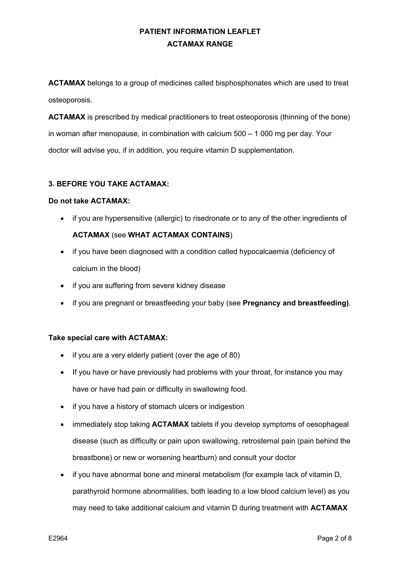**ACTAMAX** belongs to a group of medicines called bisphosphonates which are used to treat osteoporosis.

**ACTAMAX** is prescribed by medical practitioners to treat osteoporosis (thinning of the bone) in woman after menopause, in combination with calcium 500 – 1 000 mg per day. Your doctor will advise you, if in addition, you require vitamin D supplementation.

# **3. BEFORE YOU TAKE ACTAMAX:**

## **Do not take ACTAMAX:**

• if you are hypersensitive (allergic) to risedronate or to any of the other ingredients of

# **ACTAMAX** (see **WHAT ACTAMAX CONTAINS**)

- if you have been diagnosed with a condition called hypocalcaemia (deficiency of calcium in the blood)
- if you are suffering from severe kidney disease
- if you are pregnant or breastfeeding your baby (see **Pregnancy and breastfeeding)**.

## **Take special care with ACTAMAX:**

- if you are a very elderly patient (over the age of 80)
- If you have or have previously had problems with your throat, for instance you may have or have had pain or difficulty in swallowing food.
- if you have a history of stomach ulcers or indigestion
- immediately stop taking **ACTAMAX** tablets if you develop symptoms of oesophageal disease (such as difficulty or pain upon swallowing, retrosternal pain (pain behind the breastbone) or new or worsening heartburn) and consult your doctor
- if you have abnormal bone and mineral metabolism (for example lack of vitamin D, parathyroid hormone abnormalities, both leading to a low blood calcium level) as you may need to take additional calcium and vitamin D during treatment with **ACTAMAX**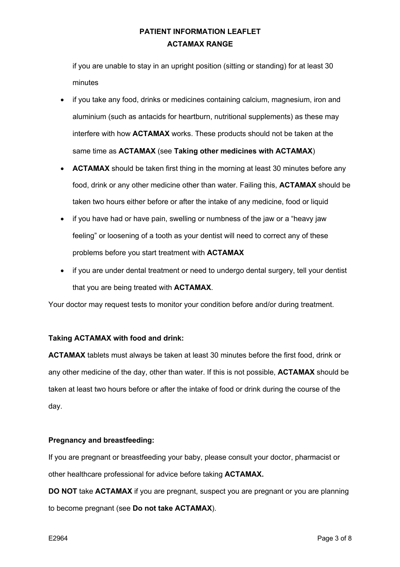if you are unable to stay in an upright position (sitting or standing) for at least 30 minutes

- if you take any food, drinks or medicines containing calcium, magnesium, iron and aluminium (such as antacids for heartburn, nutritional supplements) as these may interfere with how **ACTAMAX** works. These products should not be taken at the same time as **ACTAMAX** (see **Taking other medicines with ACTAMAX**)
- **ACTAMAX** should be taken first thing in the morning at least 30 minutes before any food, drink or any other medicine other than water. Failing this, **ACTAMAX** should be taken two hours either before or after the intake of any medicine, food or liquid
- if you have had or have pain, swelling or numbness of the jaw or a "heavy jaw feeling" or loosening of a tooth as your dentist will need to correct any of these problems before you start treatment with **ACTAMAX**
- if you are under dental treatment or need to undergo dental surgery, tell your dentist that you are being treated with **ACTAMAX**.

Your doctor may request tests to monitor your condition before and/or during treatment.

# **Taking ACTAMAX with food and drink:**

**ACTAMAX** tablets must always be taken at least 30 minutes before the first food, drink or any other medicine of the day, other than water. If this is not possible, **ACTAMAX** should be taken at least two hours before or after the intake of food or drink during the course of the day.

## **Pregnancy and breastfeeding:**

If you are pregnant or breastfeeding your baby, please consult your doctor, pharmacist or other healthcare professional for advice before taking **ACTAMAX.**

**DO NOT** take **ACTAMAX** if you are pregnant, suspect you are pregnant or you are planning to become pregnant (see **Do not take ACTAMAX**).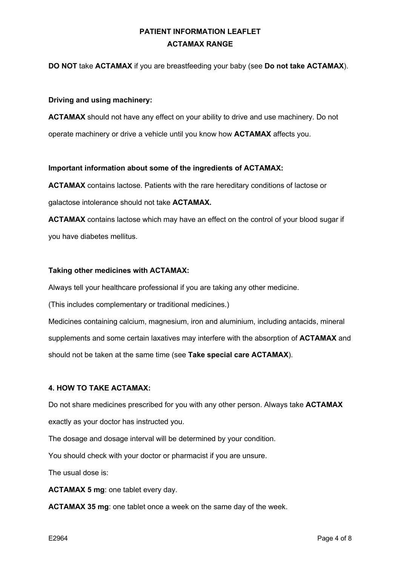# **DO NOT** take **ACTAMAX** if you are breastfeeding your baby (see **Do not take ACTAMAX**).

## **Driving and using machinery:**

**ACTAMAX** should not have any effect on your ability to drive and use machinery. Do not operate machinery or drive a vehicle until you know how **ACTAMAX** affects you.

#### **Important information about some of the ingredients of ACTAMAX:**

**ACTAMAX** contains lactose. Patients with the rare hereditary conditions of lactose or galactose intolerance should not take **ACTAMAX.**

**ACTAMAX** contains lactose which may have an effect on the control of your blood sugar if you have diabetes mellitus.

## **Taking other medicines with ACTAMAX:**

Always tell your healthcare professional if you are taking any other medicine.

(This includes complementary or traditional medicines.)

Medicines containing calcium, magnesium, iron and aluminium, including antacids, mineral supplements and some certain laxatives may interfere with the absorption of **ACTAMAX** and should not be taken at the same time (see **Take special care ACTAMAX**).

## **4. HOW TO TAKE ACTAMAX:**

Do not share medicines prescribed for you with any other person. Always take **ACTAMAX** exactly as your doctor has instructed you.

The dosage and dosage interval will be determined by your condition.

You should check with your doctor or pharmacist if you are unsure.

The usual dose is:

**ACTAMAX 5 mg**: one tablet every day.

**ACTAMAX 35 mg**: one tablet once a week on the same day of the week.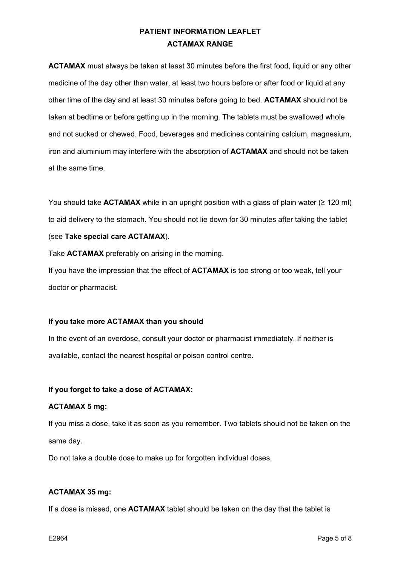**ACTAMAX** must always be taken at least 30 minutes before the first food, liquid or any other medicine of the day other than water, at least two hours before or after food or liquid at any other time of the day and at least 30 minutes before going to bed. **ACTAMAX** should not be taken at bedtime or before getting up in the morning. The tablets must be swallowed whole and not sucked or chewed. Food, beverages and medicines containing calcium, magnesium, iron and aluminium may interfere with the absorption of **ACTAMAX** and should not be taken at the same time.

You should take **ACTAMAX** while in an upright position with a glass of plain water (≥ 120 ml) to aid delivery to the stomach. You should not lie down for 30 minutes after taking the tablet (see **Take special care ACTAMAX**).

Take **ACTAMAX** preferably on arising in the morning.

If you have the impression that the effect of **ACTAMAX** is too strong or too weak, tell your doctor or pharmacist.

## **If you take more ACTAMAX than you should**

In the event of an overdose, consult your doctor or pharmacist immediately. If neither is available, contact the nearest hospital or poison control centre.

## **If you forget to take a dose of ACTAMAX:**

## **ACTAMAX 5 mg:**

If you miss a dose, take it as soon as you remember. Two tablets should not be taken on the same day.

Do not take a double dose to make up for forgotten individual doses.

# **ACTAMAX 35 mg:**

If a dose is missed, one **ACTAMAX** tablet should be taken on the day that the tablet is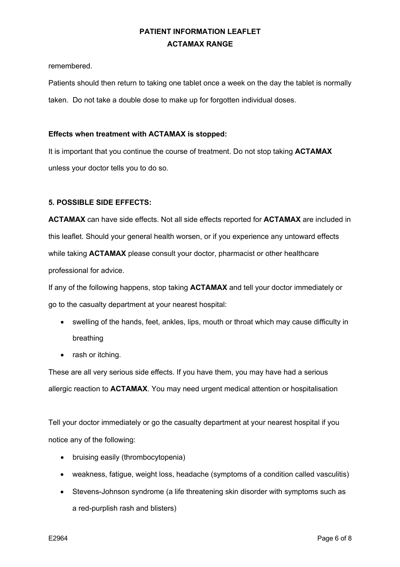remembered.

Patients should then return to taking one tablet once a week on the day the tablet is normally taken. Do not take a double dose to make up for forgotten individual doses.

# **Effects when treatment with ACTAMAX is stopped:**

It is important that you continue the course of treatment. Do not stop taking **ACTAMAX** unless your doctor tells you to do so.

# **5. POSSIBLE SIDE EFFECTS:**

**ACTAMAX** can have side effects. Not all side effects reported for **ACTAMAX** are included in this leaflet. Should your general health worsen, or if you experience any untoward effects while taking **ACTAMAX** please consult your doctor, pharmacist or other healthcare professional for advice.

If any of the following happens, stop taking **ACTAMAX** and tell your doctor immediately or go to the casualty department at your nearest hospital:

- swelling of the hands, feet, ankles, lips, mouth or throat which may cause difficulty in breathing
- rash or itching.

These are all very serious side effects. If you have them, you may have had a serious allergic reaction to **ACTAMAX**. You may need urgent medical attention or hospitalisation

Tell your doctor immediately or go the casualty department at your nearest hospital if you notice any of the following:

- bruising easily (thrombocytopenia)
- weakness, fatigue, weight loss, headache (symptoms of a condition called vasculitis)
- Stevens-Johnson syndrome (a life threatening skin disorder with symptoms such as a red-purplish rash and blisters)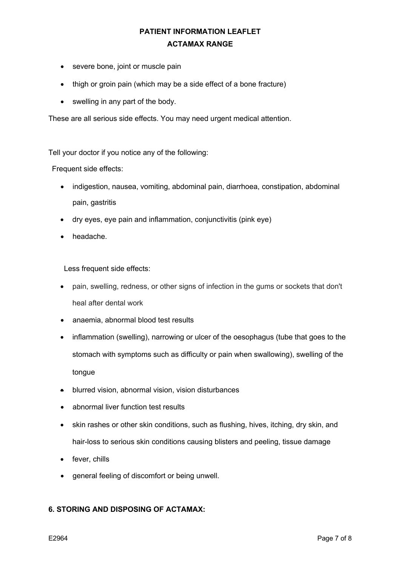- severe bone, joint or muscle pain
- thigh or groin pain (which may be a side effect of a bone fracture)
- swelling in any part of the body.

These are all serious side effects. You may need urgent medical attention.

Tell your doctor if you notice any of the following:

Frequent side effects:

- indigestion, nausea, vomiting, abdominal pain, diarrhoea, constipation, abdominal pain, gastritis
- dry eyes, eye pain and inflammation, conjunctivitis (pink eye)
- headache.

Less frequent side effects:

- pain, swelling, redness, or other signs of infection in the gums or sockets that don't heal after dental work
- anaemia, abnormal blood test results
- inflammation (swelling), narrowing or ulcer of the oesophagus (tube that goes to the stomach with symptoms such as difficulty or pain when swallowing), swelling of the tongue
- blurred vision, abnormal vision, vision disturbances
- abnormal liver function test results
- skin rashes or other skin conditions, such as flushing, hives, itching, dry skin, and hair-loss to serious skin conditions causing blisters and peeling, tissue damage
- fever, chills
- general feeling of discomfort or being unwell.

# **6. STORING AND DISPOSING OF ACTAMAX:**